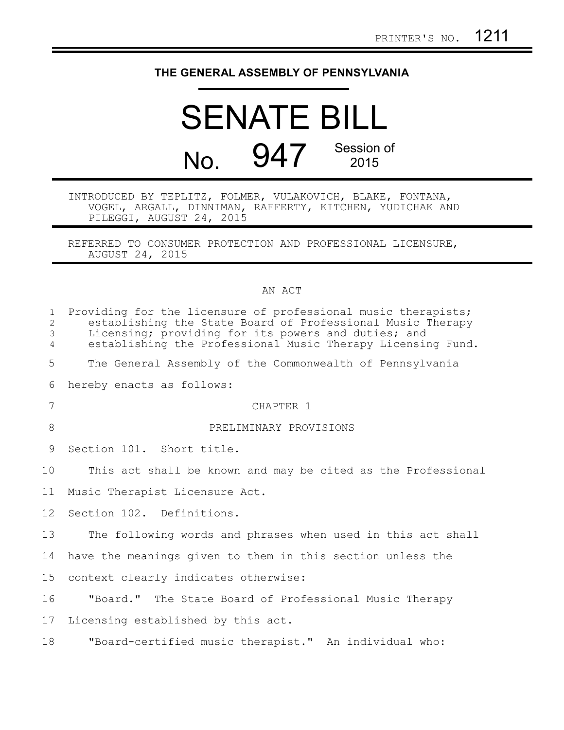## **THE GENERAL ASSEMBLY OF PENNSYLVANIA**

## SENATE BILL No. 947 Session of 2015

## INTRODUCED BY TEPLITZ, FOLMER, VULAKOVICH, BLAKE, FONTANA, VOGEL, ARGALL, DINNIMAN, RAFFERTY, KITCHEN, YUDICHAK AND PILEGGI, AUGUST 24, 2015

REFERRED TO CONSUMER PROTECTION AND PROFESSIONAL LICENSURE, AUGUST 24, 2015

## AN ACT

| $\mathbf{1}$<br>$\mathbf{2}$<br>$\mathfrak{Z}$<br>$\overline{4}$ | Providing for the licensure of professional music therapists;<br>establishing the State Board of Professional Music Therapy<br>Licensing; providing for its powers and duties; and<br>establishing the Professional Music Therapy Licensing Fund. |
|------------------------------------------------------------------|---------------------------------------------------------------------------------------------------------------------------------------------------------------------------------------------------------------------------------------------------|
| 5                                                                | The General Assembly of the Commonwealth of Pennsylvania                                                                                                                                                                                          |
| 6                                                                | hereby enacts as follows:                                                                                                                                                                                                                         |
| 7                                                                | CHAPTER 1                                                                                                                                                                                                                                         |
| 8                                                                | PRELIMINARY PROVISIONS                                                                                                                                                                                                                            |
| 9                                                                | Section 101. Short title.                                                                                                                                                                                                                         |
| 10                                                               | This act shall be known and may be cited as the Professional                                                                                                                                                                                      |
| 11                                                               | Music Therapist Licensure Act.                                                                                                                                                                                                                    |
| 12 <sup>°</sup>                                                  | Section 102. Definitions.                                                                                                                                                                                                                         |
| 13                                                               | The following words and phrases when used in this act shall                                                                                                                                                                                       |
| 14                                                               | have the meanings given to them in this section unless the                                                                                                                                                                                        |
| 15                                                               | context clearly indicates otherwise:                                                                                                                                                                                                              |
| 16                                                               | "Board." The State Board of Professional Music Therapy                                                                                                                                                                                            |
| 17                                                               | Licensing established by this act.                                                                                                                                                                                                                |
| 18                                                               | "Board-certified music therapist." An individual who:                                                                                                                                                                                             |
|                                                                  |                                                                                                                                                                                                                                                   |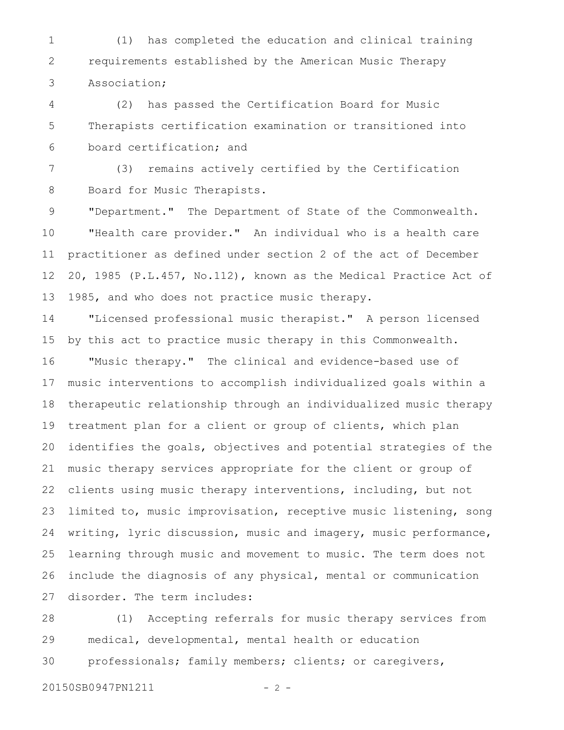(1) has completed the education and clinical training requirements established by the American Music Therapy Association; 1 2 3

(2) has passed the Certification Board for Music Therapists certification examination or transitioned into board certification; and 4 5 6

(3) remains actively certified by the Certification Board for Music Therapists. 7 8

"Department." The Department of State of the Commonwealth. "Health care provider." An individual who is a health care practitioner as defined under section 2 of the act of December 20, 1985 (P.L.457, No.112), known as the Medical Practice Act of 1985, and who does not practice music therapy. 9 10 11 12 13

"Licensed professional music therapist." A person licensed by this act to practice music therapy in this Commonwealth. "Music therapy." The clinical and evidence-based use of music interventions to accomplish individualized goals within a therapeutic relationship through an individualized music therapy treatment plan for a client or group of clients, which plan identifies the goals, objectives and potential strategies of the music therapy services appropriate for the client or group of clients using music therapy interventions, including, but not limited to, music improvisation, receptive music listening, song writing, lyric discussion, music and imagery, music performance, learning through music and movement to music. The term does not include the diagnosis of any physical, mental or communication disorder. The term includes: 14 15 16 17 18 19 20 21 22 23 24 25 26 27

(1) Accepting referrals for music therapy services from medical, developmental, mental health or education professionals; family members; clients; or caregivers, 28 29 30

20150SB0947PN1211 - 2 -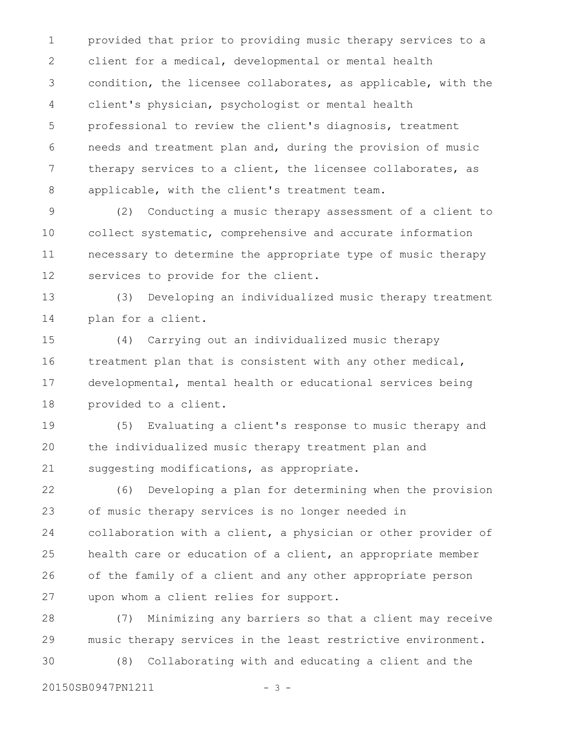provided that prior to providing music therapy services to a client for a medical, developmental or mental health condition, the licensee collaborates, as applicable, with the client's physician, psychologist or mental health professional to review the client's diagnosis, treatment needs and treatment plan and, during the provision of music therapy services to a client, the licensee collaborates, as applicable, with the client's treatment team. 1 2 3 4 5 6 7 8

(2) Conducting a music therapy assessment of a client to collect systematic, comprehensive and accurate information necessary to determine the appropriate type of music therapy services to provide for the client. 9 10 11 12

(3) Developing an individualized music therapy treatment plan for a client. 13 14

(4) Carrying out an individualized music therapy treatment plan that is consistent with any other medical, developmental, mental health or educational services being provided to a client. 15 16 17 18

(5) Evaluating a client's response to music therapy and the individualized music therapy treatment plan and suggesting modifications, as appropriate. 19 20 21

(6) Developing a plan for determining when the provision of music therapy services is no longer needed in collaboration with a client, a physician or other provider of health care or education of a client, an appropriate member of the family of a client and any other appropriate person upon whom a client relies for support. 22 23 24 25 26 27

(7) Minimizing any barriers so that a client may receive music therapy services in the least restrictive environment. 28 29

(8) Collaborating with and educating a client and the 30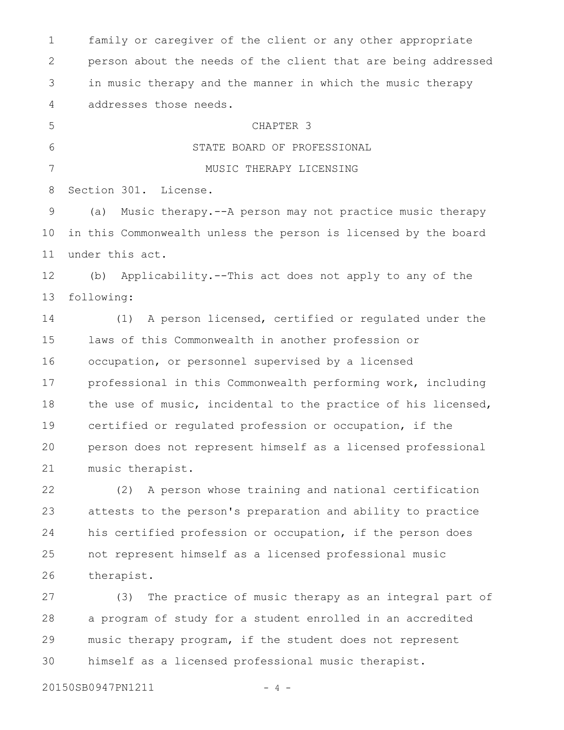family or caregiver of the client or any other appropriate person about the needs of the client that are being addressed in music therapy and the manner in which the music therapy addresses those needs. CHAPTER 3 STATE BOARD OF PROFESSIONAL MUSIC THERAPY LICENSING Section 301. License. (a) Music therapy.--A person may not practice music therapy in this Commonwealth unless the person is licensed by the board under this act. (b) Applicability.--This act does not apply to any of the following: (1) A person licensed, certified or regulated under the laws of this Commonwealth in another profession or occupation, or personnel supervised by a licensed professional in this Commonwealth performing work, including the use of music, incidental to the practice of his licensed, certified or regulated profession or occupation, if the person does not represent himself as a licensed professional music therapist. (2) A person whose training and national certification attests to the person's preparation and ability to practice his certified profession or occupation, if the person does not represent himself as a licensed professional music therapist. (3) The practice of music therapy as an integral part of a program of study for a student enrolled in an accredited music therapy program, if the student does not represent 1 2 3 4 5 6 7 8 9 10 11 12 13 14 15 16 17 18 19 20 21 22 23 24 25 26 27 28 29

himself as a licensed professional music therapist. 30

20150SB0947PN1211 - 4 -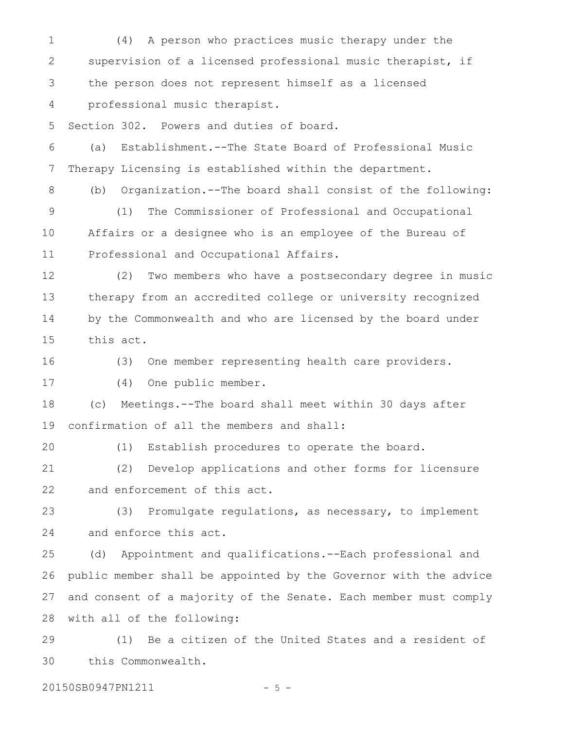(4) A person who practices music therapy under the supervision of a licensed professional music therapist, if the person does not represent himself as a licensed professional music therapist. 1 2 3 4

Section 302. Powers and duties of board. 5

(a) Establishment.--The State Board of Professional Music Therapy Licensing is established within the department. 6 7

(b) Organization.--The board shall consist of the following: (1) The Commissioner of Professional and Occupational Affairs or a designee who is an employee of the Bureau of Professional and Occupational Affairs. 8 9 10 11

(2) Two members who have a postsecondary degree in music therapy from an accredited college or university recognized by the Commonwealth and who are licensed by the board under this act. 12 13 14 15

(3) One member representing health care providers. 16

(4) One public member. 17

(c) Meetings.--The board shall meet within 30 days after confirmation of all the members and shall: 18 19

20

(1) Establish procedures to operate the board.

(2) Develop applications and other forms for licensure and enforcement of this act. 21 22

(3) Promulgate regulations, as necessary, to implement and enforce this act. 23 24

(d) Appointment and qualifications.--Each professional and public member shall be appointed by the Governor with the advice and consent of a majority of the Senate. Each member must comply with all of the following: 25 26 27 28

(1) Be a citizen of the United States and a resident of this Commonwealth. 29 30

20150SB0947PN1211 - 5 -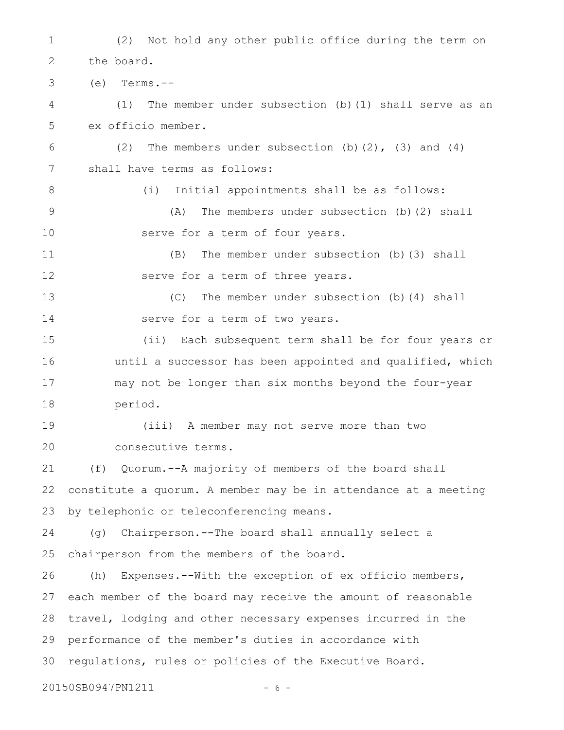(2) Not hold any other public office during the term on the board. (e) Terms.-- (1) The member under subsection (b)(1) shall serve as an ex officio member. (2) The members under subsection  $(b)$   $(2)$ ,  $(3)$  and  $(4)$ shall have terms as follows: (i) Initial appointments shall be as follows: (A) The members under subsection (b)(2) shall serve for a term of four years. (B) The member under subsection (b)(3) shall serve for a term of three years. (C) The member under subsection (b)(4) shall serve for a term of two years. (ii) Each subsequent term shall be for four years or until a successor has been appointed and qualified, which may not be longer than six months beyond the four-year period. (iii) A member may not serve more than two consecutive terms. (f) Quorum.--A majority of members of the board shall constitute a quorum. A member may be in attendance at a meeting by telephonic or teleconferencing means. (g) Chairperson.--The board shall annually select a chairperson from the members of the board. (h) Expenses.--With the exception of ex officio members, each member of the board may receive the amount of reasonable travel, lodging and other necessary expenses incurred in the performance of the member's duties in accordance with regulations, rules or policies of the Executive Board. 20150SB0947PN1211 - 6 -1 2 3 4 5 6 7 8 9 10 11 12 13 14 15 16 17 18 19 20 21 22 23 24 25 26 27 28 29 30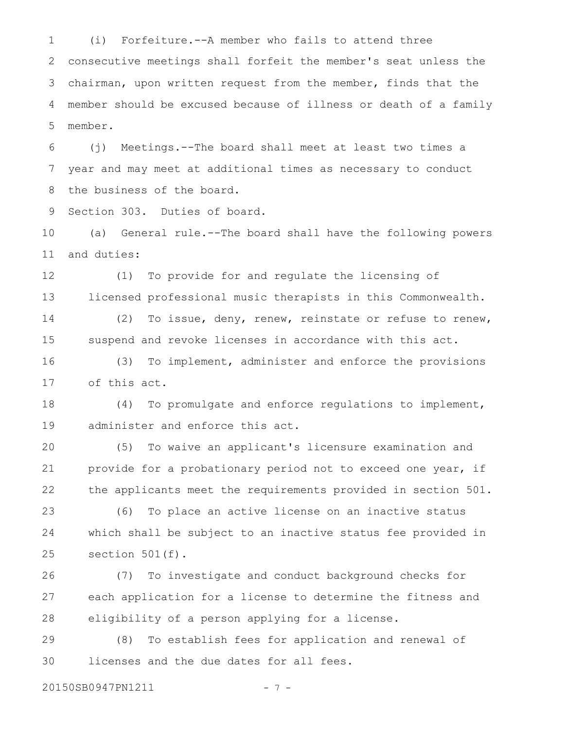(i) Forfeiture.--A member who fails to attend three consecutive meetings shall forfeit the member's seat unless the chairman, upon written request from the member, finds that the member should be excused because of illness or death of a family member. 1 2 3 4 5

(j) Meetings.--The board shall meet at least two times a year and may meet at additional times as necessary to conduct the business of the board. 6 7 8

Section 303. Duties of board. 9

(a) General rule.--The board shall have the following powers and duties: 10 11

(1) To provide for and regulate the licensing of licensed professional music therapists in this Commonwealth. (2) To issue, deny, renew, reinstate or refuse to renew, 12 13 14

suspend and revoke licenses in accordance with this act. 15

(3) To implement, administer and enforce the provisions of this act. 16 17

(4) To promulgate and enforce regulations to implement, administer and enforce this act. 18 19

(5) To waive an applicant's licensure examination and provide for a probationary period not to exceed one year, if the applicants meet the requirements provided in section 501. 20 21 22

(6) To place an active license on an inactive status which shall be subject to an inactive status fee provided in section 501(f). 23 24 25

(7) To investigate and conduct background checks for each application for a license to determine the fitness and eligibility of a person applying for a license. 26 27 28

(8) To establish fees for application and renewal of licenses and the due dates for all fees. 29 30

20150SB0947PN1211 - 7 -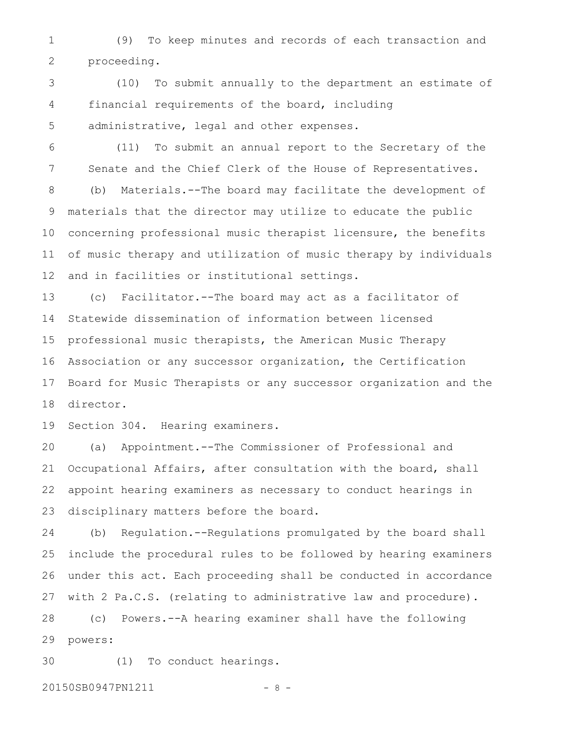(9) To keep minutes and records of each transaction and proceeding. 1 2

(10) To submit annually to the department an estimate of financial requirements of the board, including administrative, legal and other expenses. 3 4 5

(11) To submit an annual report to the Secretary of the Senate and the Chief Clerk of the House of Representatives. (b) Materials.--The board may facilitate the development of materials that the director may utilize to educate the public concerning professional music therapist licensure, the benefits 6 7 8 9 10

of music therapy and utilization of music therapy by individuals and in facilities or institutional settings. 11 12

(c) Facilitator.--The board may act as a facilitator of Statewide dissemination of information between licensed professional music therapists, the American Music Therapy Association or any successor organization, the Certification Board for Music Therapists or any successor organization and the director. 13 14 15 16 17 18

Section 304. Hearing examiners. 19

(a) Appointment.--The Commissioner of Professional and Occupational Affairs, after consultation with the board, shall appoint hearing examiners as necessary to conduct hearings in disciplinary matters before the board. 20 21 22 23

(b) Regulation.--Regulations promulgated by the board shall include the procedural rules to be followed by hearing examiners under this act. Each proceeding shall be conducted in accordance with 2 Pa.C.S. (relating to administrative law and procedure). 24 25 26 27

(c) Powers.--A hearing examiner shall have the following powers: 28 29

(1) To conduct hearings. 30

20150SB0947PN1211 - 8 -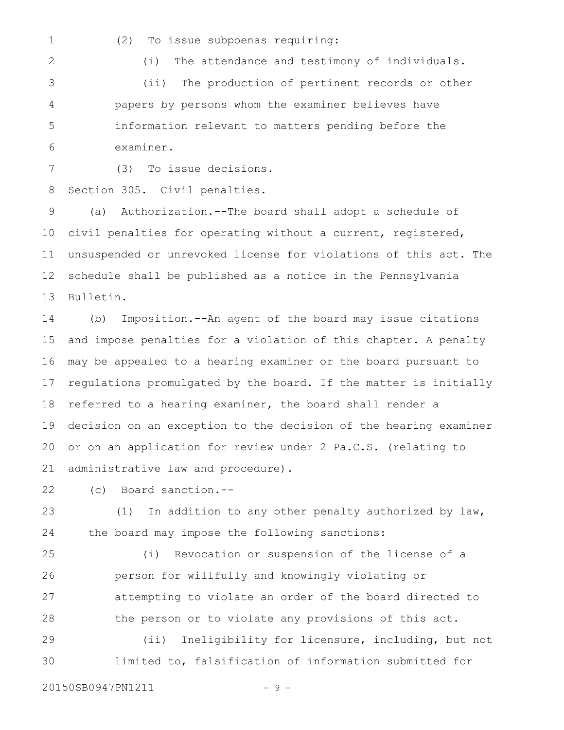- 1
- (2) To issue subpoenas requiring:

2 3 (i) The attendance and testimony of individuals.

(ii) The production of pertinent records or other papers by persons whom the examiner believes have information relevant to matters pending before the examiner. 4 5 6

7

(3) To issue decisions.

Section 305. Civil penalties. 8

(a) Authorization.--The board shall adopt a schedule of civil penalties for operating without a current, registered, unsuspended or unrevoked license for violations of this act. The schedule shall be published as a notice in the Pennsylvania Bulletin. 9 10 11 12 13

(b) Imposition.--An agent of the board may issue citations and impose penalties for a violation of this chapter. A penalty may be appealed to a hearing examiner or the board pursuant to regulations promulgated by the board. If the matter is initially referred to a hearing examiner, the board shall render a decision on an exception to the decision of the hearing examiner or on an application for review under 2 Pa.C.S. (relating to administrative law and procedure). 14 15 16 17 18 19 20 21

(c) Board sanction.-- 22

(1) In addition to any other penalty authorized by law, the board may impose the following sanctions: 23 24

(i) Revocation or suspension of the license of a person for willfully and knowingly violating or attempting to violate an order of the board directed to the person or to violate any provisions of this act. 25 26 27 28

(ii) Ineligibility for licensure, including, but not limited to, falsification of information submitted for 29 30

20150SB0947PN1211 - 9 -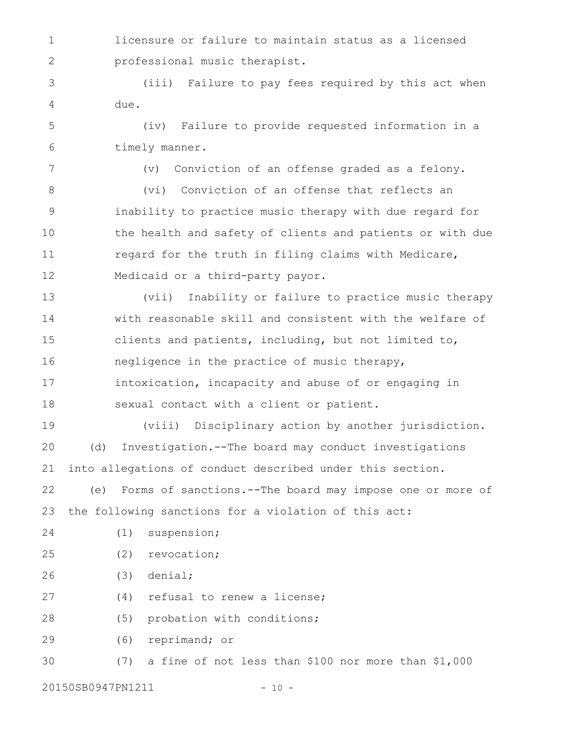licensure or failure to maintain status as a licensed professional music therapist. 1 2

(iii) Failure to pay fees required by this act when due. 3 4

(iv) Failure to provide requested information in a timely manner. 5 6

7

(v) Conviction of an offense graded as a felony.

(vi) Conviction of an offense that reflects an inability to practice music therapy with due regard for the health and safety of clients and patients or with due regard for the truth in filing claims with Medicare, Medicaid or a third-party payor. 8 9 10 11 12

(vii) Inability or failure to practice music therapy with reasonable skill and consistent with the welfare of clients and patients, including, but not limited to, negligence in the practice of music therapy, intoxication, incapacity and abuse of or engaging in sexual contact with a client or patient. 13 14 15 16 17 18

(viii) Disciplinary action by another jurisdiction. (d) Investigation.--The board may conduct investigations into allegations of conduct described under this section. 19 20 21

(e) Forms of sanctions.--The board may impose one or more of the following sanctions for a violation of this act: 22 23

(1) suspension; 24

(2) revocation; 25

(3) denial; 26

(4) refusal to renew a license; 27

(5) probation with conditions; 28

(6) reprimand; or 29

(7) a fine of not less than \$100 nor more than \$1,000 30

20150SB0947PN1211 - 10 -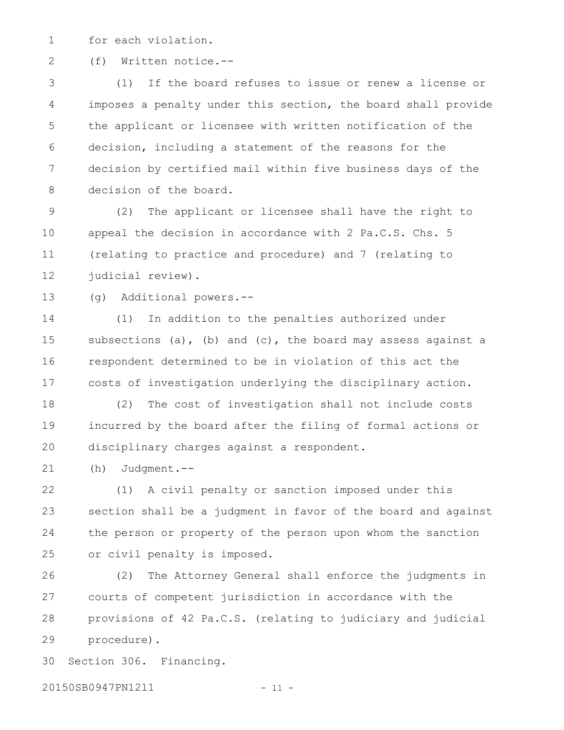for each violation. 1

(f) Written notice.-- 2

(1) If the board refuses to issue or renew a license or imposes a penalty under this section, the board shall provide the applicant or licensee with written notification of the decision, including a statement of the reasons for the decision by certified mail within five business days of the decision of the board. 3 4 5 6 7 8

(2) The applicant or licensee shall have the right to appeal the decision in accordance with 2 Pa.C.S. Chs. 5 (relating to practice and procedure) and 7 (relating to judicial review). 9 10 11 12

(g) Additional powers.-- 13

(1) In addition to the penalties authorized under subsections (a), (b) and (c), the board may assess against a respondent determined to be in violation of this act the costs of investigation underlying the disciplinary action. 14 15 16 17

(2) The cost of investigation shall not include costs incurred by the board after the filing of formal actions or disciplinary charges against a respondent. 18 19 20

(h) Judgment.-- 21

(1) A civil penalty or sanction imposed under this section shall be a judgment in favor of the board and against the person or property of the person upon whom the sanction or civil penalty is imposed. 22 23 24 25

(2) The Attorney General shall enforce the judgments in courts of competent jurisdiction in accordance with the provisions of 42 Pa.C.S. (relating to judiciary and judicial procedure). 26 27 28 29

Section 306. Financing. 30

20150SB0947PN1211 - 11 -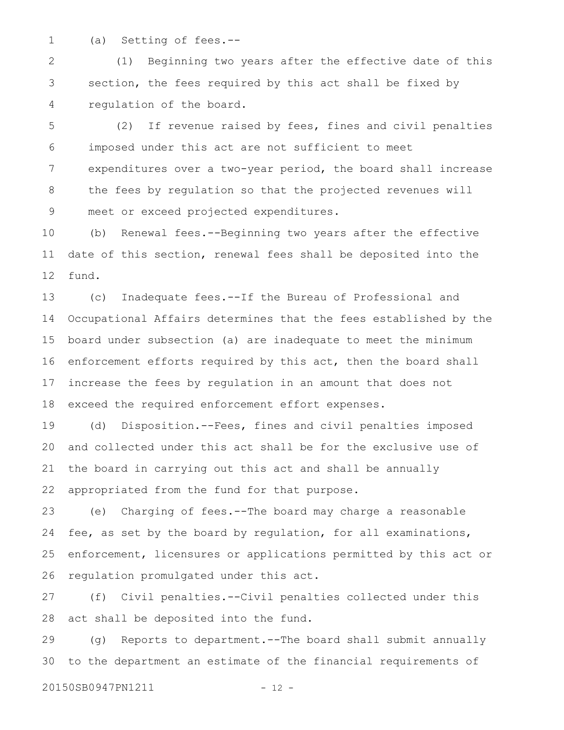1

(a) Setting of fees.--

(1) Beginning two years after the effective date of this section, the fees required by this act shall be fixed by regulation of the board. 2 3 4

(2) If revenue raised by fees, fines and civil penalties imposed under this act are not sufficient to meet expenditures over a two-year period, the board shall increase the fees by regulation so that the projected revenues will meet or exceed projected expenditures. 5 6 7 8 9

(b) Renewal fees.--Beginning two years after the effective date of this section, renewal fees shall be deposited into the fund. 10 11 12

(c) Inadequate fees.--If the Bureau of Professional and Occupational Affairs determines that the fees established by the board under subsection (a) are inadequate to meet the minimum enforcement efforts required by this act, then the board shall increase the fees by regulation in an amount that does not exceed the required enforcement effort expenses. 13 14 15 16 17 18

(d) Disposition.--Fees, fines and civil penalties imposed and collected under this act shall be for the exclusive use of the board in carrying out this act and shall be annually appropriated from the fund for that purpose. 19 20 21 22

(e) Charging of fees.--The board may charge a reasonable fee, as set by the board by regulation, for all examinations, enforcement, licensures or applications permitted by this act or regulation promulgated under this act. 23 24 25 26

(f) Civil penalties.--Civil penalties collected under this act shall be deposited into the fund. 27 28

(g) Reports to department.--The board shall submit annually to the department an estimate of the financial requirements of 29 30

20150SB0947PN1211 - 12 -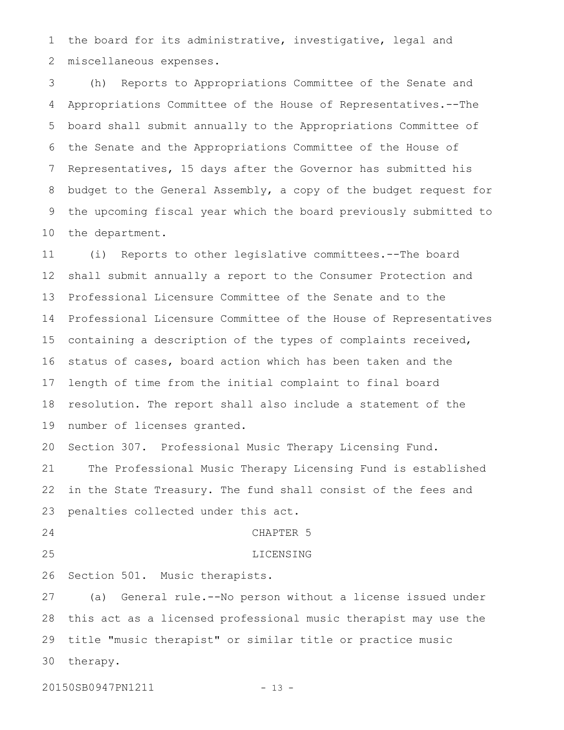the board for its administrative, investigative, legal and miscellaneous expenses. 1 2

(h) Reports to Appropriations Committee of the Senate and Appropriations Committee of the House of Representatives.--The board shall submit annually to the Appropriations Committee of the Senate and the Appropriations Committee of the House of Representatives, 15 days after the Governor has submitted his budget to the General Assembly, a copy of the budget request for the upcoming fiscal year which the board previously submitted to the department. 3 4 5 6 7 8 9 10

(i) Reports to other legislative committees.--The board shall submit annually a report to the Consumer Protection and Professional Licensure Committee of the Senate and to the Professional Licensure Committee of the House of Representatives containing a description of the types of complaints received, status of cases, board action which has been taken and the length of time from the initial complaint to final board resolution. The report shall also include a statement of the number of licenses granted. 11 12 13 14 15 16 17 18 19

Section 307. Professional Music Therapy Licensing Fund. 20

The Professional Music Therapy Licensing Fund is established in the State Treasury. The fund shall consist of the fees and penalties collected under this act. 21 22 23

24

CHAPTER 5

LICENSING

25

26

Section 501. Music therapists.

(a) General rule.--No person without a license issued under this act as a licensed professional music therapist may use the title "music therapist" or similar title or practice music therapy. 27 28 29 30

20150SB0947PN1211 - 13 -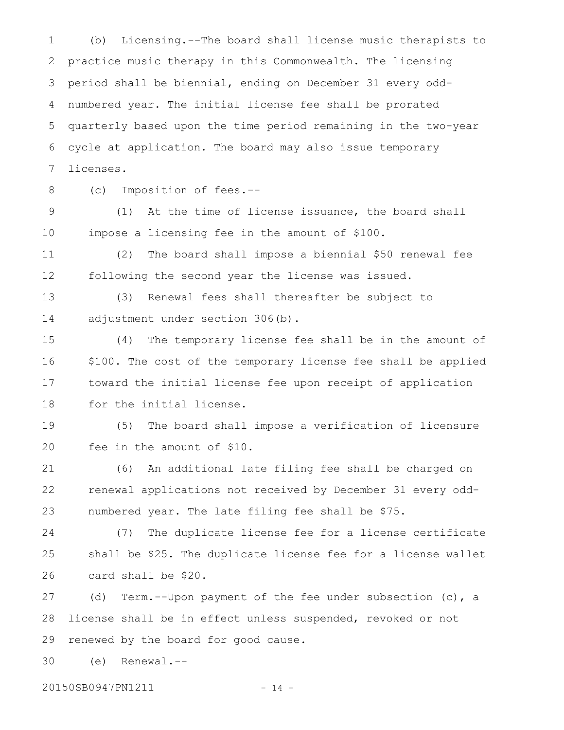(b) Licensing.--The board shall license music therapists to practice music therapy in this Commonwealth. The licensing period shall be biennial, ending on December 31 every oddnumbered year. The initial license fee shall be prorated quarterly based upon the time period remaining in the two-year cycle at application. The board may also issue temporary licenses. 1 2 3 4 5 6 7

8

(c) Imposition of fees.--

(1) At the time of license issuance, the board shall impose a licensing fee in the amount of \$100. 9 10

(2) The board shall impose a biennial \$50 renewal fee following the second year the license was issued. 11 12

(3) Renewal fees shall thereafter be subject to adjustment under section 306(b). 13 14

(4) The temporary license fee shall be in the amount of \$100. The cost of the temporary license fee shall be applied toward the initial license fee upon receipt of application for the initial license. 15 16 17 18

(5) The board shall impose a verification of licensure fee in the amount of \$10. 19 20

(6) An additional late filing fee shall be charged on renewal applications not received by December 31 every oddnumbered year. The late filing fee shall be \$75. 21 22 23

(7) The duplicate license fee for a license certificate shall be \$25. The duplicate license fee for a license wallet card shall be \$20. 24 25 26

(d) Term.--Upon payment of the fee under subsection (c), a license shall be in effect unless suspended, revoked or not renewed by the board for good cause. 27 28 29

(e) Renewal.-- 30

20150SB0947PN1211 - 14 -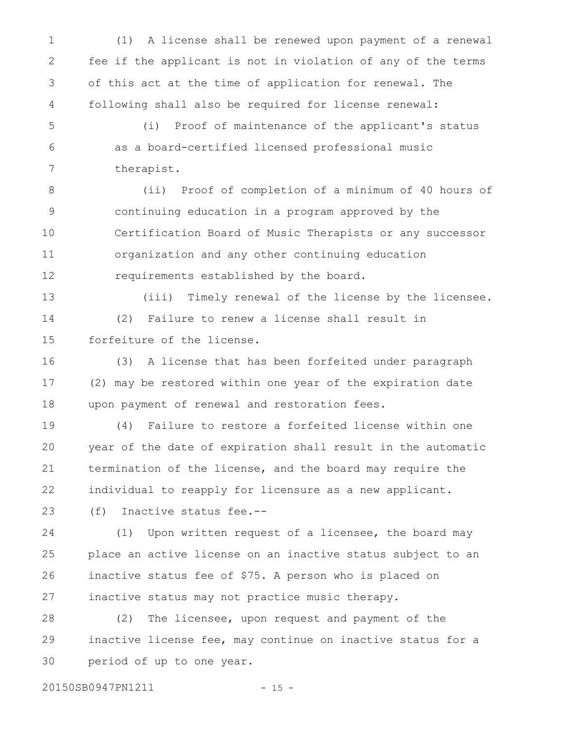(1) A license shall be renewed upon payment of a renewal fee if the applicant is not in violation of any of the terms of this act at the time of application for renewal. The following shall also be required for license renewal: (i) Proof of maintenance of the applicant's status as a board-certified licensed professional music therapist. (ii) Proof of completion of a minimum of 40 hours of continuing education in a program approved by the Certification Board of Music Therapists or any successor organization and any other continuing education 1 2 3 4 5 6 7 8 9 10 11

requirements established by the board. 12

(iii) Timely renewal of the license by the licensee. (2) Failure to renew a license shall result in forfeiture of the license. 13 14 15

(3) A license that has been forfeited under paragraph (2) may be restored within one year of the expiration date upon payment of renewal and restoration fees. 16 17 18

(4) Failure to restore a forfeited license within one year of the date of expiration shall result in the automatic termination of the license, and the board may require the individual to reapply for licensure as a new applicant. 19 20 21 22

(f) Inactive status fee.-- 23

(1) Upon written request of a licensee, the board may place an active license on an inactive status subject to an inactive status fee of \$75. A person who is placed on inactive status may not practice music therapy. 24 25 26 27

(2) The licensee, upon request and payment of the inactive license fee, may continue on inactive status for a period of up to one year. 28 29 30

20150SB0947PN1211 - 15 -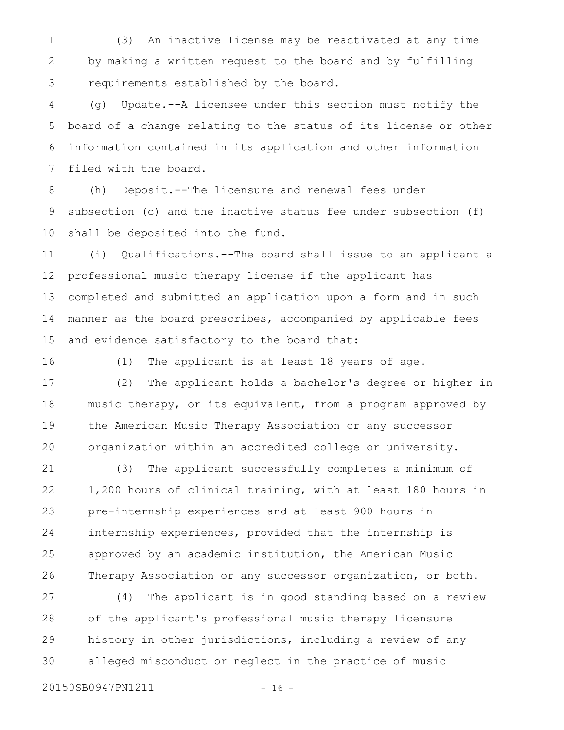(3) An inactive license may be reactivated at any time by making a written request to the board and by fulfilling requirements established by the board. 1 2 3

(g) Update.--A licensee under this section must notify the board of a change relating to the status of its license or other information contained in its application and other information filed with the board. 4 5 6 7

(h) Deposit.--The licensure and renewal fees under subsection (c) and the inactive status fee under subsection (f) shall be deposited into the fund. 8 9 10

(i) Qualifications.--The board shall issue to an applicant a professional music therapy license if the applicant has completed and submitted an application upon a form and in such manner as the board prescribes, accompanied by applicable fees and evidence satisfactory to the board that: 11 12 13 14 15

16

(1) The applicant is at least 18 years of age.

(2) The applicant holds a bachelor's degree or higher in music therapy, or its equivalent, from a program approved by the American Music Therapy Association or any successor organization within an accredited college or university. 17 18 19 20

(3) The applicant successfully completes a minimum of 1,200 hours of clinical training, with at least 180 hours in pre-internship experiences and at least 900 hours in internship experiences, provided that the internship is approved by an academic institution, the American Music Therapy Association or any successor organization, or both. 21 22 23 24 25 26

(4) The applicant is in good standing based on a review of the applicant's professional music therapy licensure history in other jurisdictions, including a review of any alleged misconduct or neglect in the practice of music 27 28 29 30

20150SB0947PN1211 - 16 -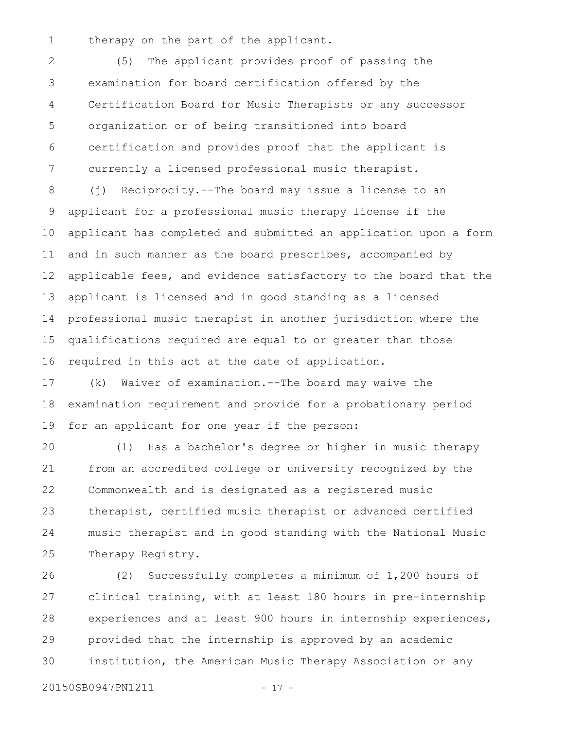therapy on the part of the applicant. 1

(5) The applicant provides proof of passing the examination for board certification offered by the Certification Board for Music Therapists or any successor organization or of being transitioned into board certification and provides proof that the applicant is currently a licensed professional music therapist. 2 3 4 5 6 7

(j) Reciprocity.--The board may issue a license to an applicant for a professional music therapy license if the applicant has completed and submitted an application upon a form and in such manner as the board prescribes, accompanied by applicable fees, and evidence satisfactory to the board that the applicant is licensed and in good standing as a licensed professional music therapist in another jurisdiction where the qualifications required are equal to or greater than those required in this act at the date of application. 8 9 10 11 12 13 14 15 16

(k) Waiver of examination.--The board may waive the examination requirement and provide for a probationary period for an applicant for one year if the person: 17 18 19

(1) Has a bachelor's degree or higher in music therapy from an accredited college or university recognized by the Commonwealth and is designated as a registered music therapist, certified music therapist or advanced certified music therapist and in good standing with the National Music Therapy Registry. 20 21 22 23 24 25

(2) Successfully completes a minimum of 1,200 hours of clinical training, with at least 180 hours in pre-internship experiences and at least 900 hours in internship experiences, provided that the internship is approved by an academic institution, the American Music Therapy Association or any 26 27 28 29 30

20150SB0947PN1211 - 17 -